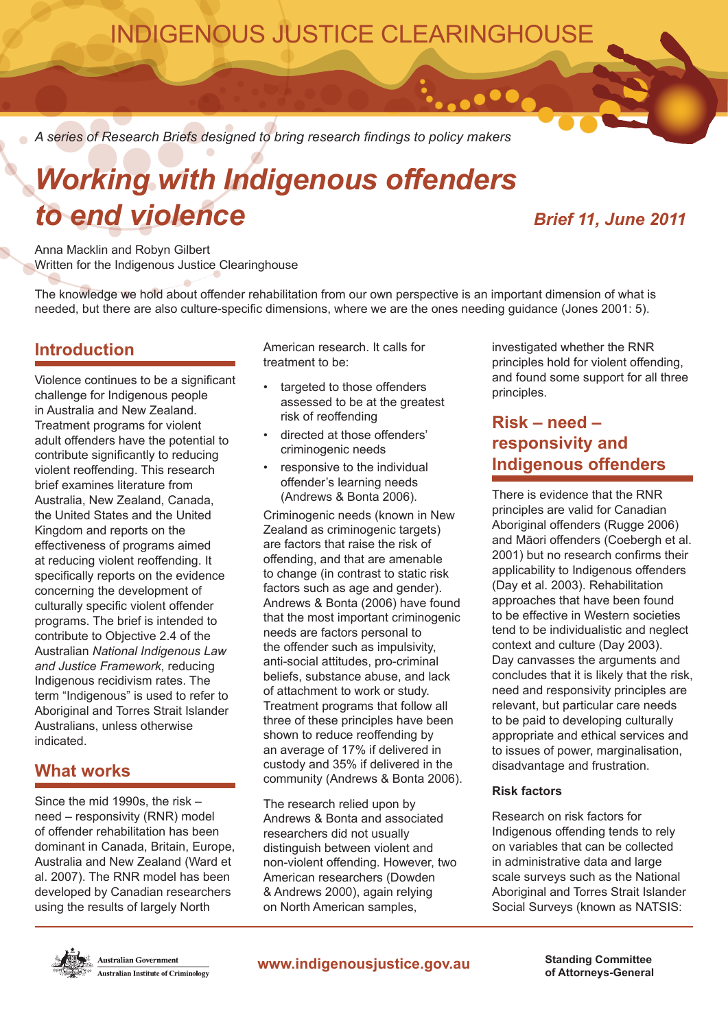## INDIGENOUS JUSTICE CLEARINGHOUSE

*A series of Research Briefs designed to bring research findings to policy makers*

# *Working with Indigenous offenders to end violence Brief 11, June 2011*

. . .

Anna Macklin and Robyn Gilbert Written for the Indigenous Justice Clearinghouse

The knowledge we hold about offender rehabilitation from our own perspective is an important dimension of what is needed, but there are also culture-specific dimensions, where we are the ones needing guidance (Jones 2001: 5).

### **Introduction**

Violence continues to be a significant challenge for Indigenous people in Australia and New Zealand. Treatment programs for violent adult offenders have the potential to contribute significantly to reducing violent reoffending. This research brief examines literature from Australia, New Zealand, Canada, the United States and the United Kingdom and reports on the effectiveness of programs aimed at reducing violent reoffending. It specifically reports on the evidence concerning the development of culturally specific violent offender programs. The brief is intended to contribute to Objective 2.4 of the Australian *National Indigenous Law and Justice Framework*, reducing Indigenous recidivism rates. The term "Indigenous" is used to refer to Aboriginal and Torres Strait Islander Australians, unless otherwise indicated.

### **What works**

Since the mid 1990s, the risk – need – responsivity (RNR) model of offender rehabilitation has been dominant in Canada, Britain, Europe, Australia and New Zealand (Ward et al. 2007). The RNR model has been developed by Canadian researchers using the results of largely North

American research. It calls for treatment to be:

- targeted to those offenders assessed to be at the greatest risk of reoffending
- directed at those offenders' criminogenic needs
- responsive to the individual offender's learning needs (Andrews & Bonta 2006).

Criminogenic needs (known in New Zealand as criminogenic targets) are factors that raise the risk of offending, and that are amenable to change (in contrast to static risk factors such as age and gender). Andrews & Bonta (2006) have found that the most important criminogenic needs are factors personal to the offender such as impulsivity, anti-social attitudes, pro-criminal beliefs, substance abuse, and lack of attachment to work or study. Treatment programs that follow all three of these principles have been shown to reduce reoffending by an average of 17% if delivered in custody and 35% if delivered in the community (Andrews & Bonta 2006).

The research relied upon by Andrews & Bonta and associated researchers did not usually distinguish between violent and non-violent offending. However, two American researchers (Dowden & Andrews 2000), again relying on North American samples,

investigated whether the RNR principles hold for violent offending, and found some support for all three principles.

### **Risk – need – responsivity and Indigenous offenders**

There is evidence that the RNR principles are valid for Canadian Aboriginal offenders (Rugge 2006) and Māori offenders (Coebergh et al. 2001) but no research confirms their applicability to Indigenous offenders (Day et al. 2003). Rehabilitation approaches that have been found to be effective in Western societies tend to be individualistic and neglect context and culture (Day 2003). Day canvasses the arguments and concludes that it is likely that the risk, need and responsivity principles are relevant, but particular care needs to be paid to developing culturally appropriate and ethical services and to issues of power, marginalisation, disadvantage and frustration.

#### **Risk factors**

Research on risk factors for Indigenous offending tends to rely on variables that can be collected in administrative data and large scale surveys such as the National Aboriginal and Torres Strait Islander Social Surveys (known as NATSIS:



Australian Government **Australian Institute of Criminology**  **www.indigenousjustice.gov.au Standing Committee**

**of Attorneys-General**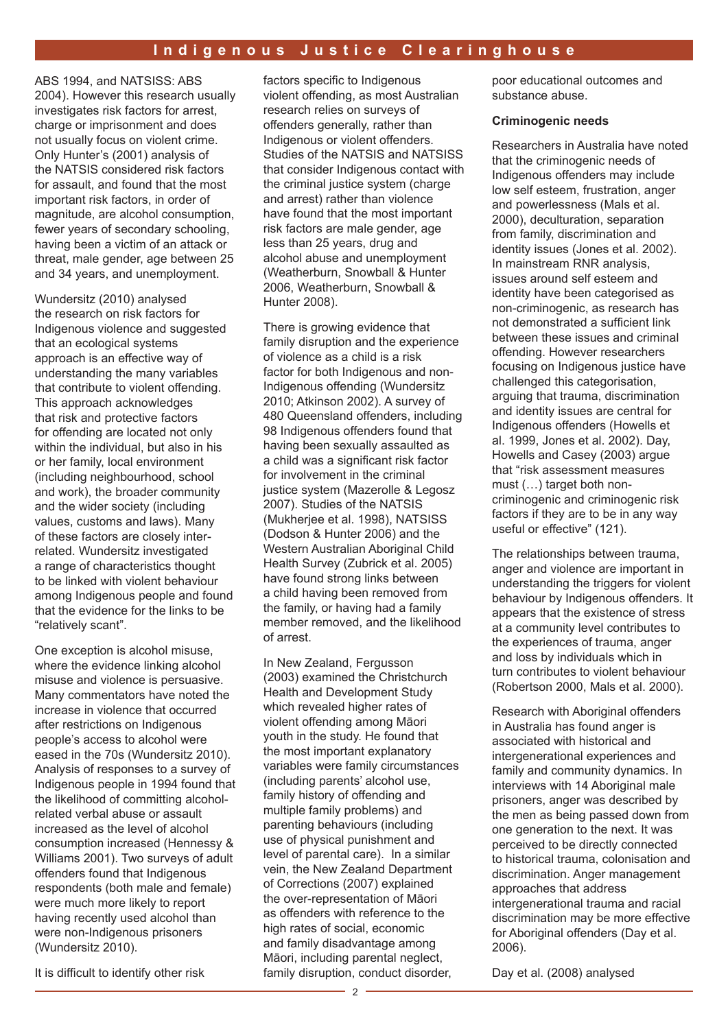#### **Indigenous Justice Clearinghouse**

ABS 1994, and NATSISS: ABS 2004). However this research usually investigates risk factors for arrest, charge or imprisonment and does not usually focus on violent crime. Only Hunter's (2001) analysis of the NATSIS considered risk factors for assault, and found that the most important risk factors, in order of magnitude, are alcohol consumption, fewer years of secondary schooling, having been a victim of an attack or threat, male gender, age between 25 and 34 years, and unemployment.

Wundersitz (2010) analysed the research on risk factors for Indigenous violence and suggested that an ecological systems approach is an effective way of understanding the many variables that contribute to violent offending. This approach acknowledges that risk and protective factors for offending are located not only within the individual, but also in his or her family, local environment (including neighbourhood, school and work), the broader community and the wider society (including values, customs and laws). Many of these factors are closely interrelated. Wundersitz investigated a range of characteristics thought to be linked with violent behaviour among Indigenous people and found that the evidence for the links to be "relatively scant".

One exception is alcohol misuse, where the evidence linking alcohol misuse and violence is persuasive. Many commentators have noted the increase in violence that occurred after restrictions on Indigenous people's access to alcohol were eased in the 70s (Wundersitz 2010). Analysis of responses to a survey of Indigenous people in 1994 found that the likelihood of committing alcoholrelated verbal abuse or assault increased as the level of alcohol consumption increased (Hennessy & Williams 2001). Two surveys of adult offenders found that Indigenous respondents (both male and female) were much more likely to report having recently used alcohol than were non-Indigenous prisoners (Wundersitz 2010).

It is difficult to identify other risk

factors specific to Indigenous violent offending, as most Australian research relies on surveys of offenders generally, rather than Indigenous or violent offenders. Studies of the NATSIS and NATSISS that consider Indigenous contact with the criminal justice system (charge and arrest) rather than violence have found that the most important risk factors are male gender, age less than 25 years, drug and alcohol abuse and unemployment (Weatherburn, Snowball & Hunter 2006, Weatherburn, Snowball & Hunter 2008).

There is growing evidence that family disruption and the experience of violence as a child is a risk factor for both Indigenous and non-Indigenous offending (Wundersitz 2010; Atkinson 2002). A survey of 480 Queensland offenders, including 98 Indigenous offenders found that having been sexually assaulted as a child was a significant risk factor for involvement in the criminal justice system (Mazerolle & Legosz 2007). Studies of the NATSIS (Mukherjee et al. 1998), NATSISS (Dodson & Hunter 2006) and the Western Australian Aboriginal Child Health Survey (Zubrick et al. 2005) have found strong links between a child having been removed from the family, or having had a family member removed, and the likelihood of arrest.

In New Zealand, Fergusson (2003) examined the Christchurch Health and Development Study which revealed higher rates of violent offending among Māori youth in the study. He found that the most important explanatory variables were family circumstances (including parents' alcohol use, family history of offending and multiple family problems) and parenting behaviours (including use of physical punishment and level of parental care). In a similar vein, the New Zealand Department of Corrections (2007) explained the over-representation of Māori as offenders with reference to the high rates of social, economic and family disadvantage among Māori, including parental neglect, family disruption, conduct disorder,

poor educational outcomes and substance abuse.

#### **Criminogenic needs**

Researchers in Australia have noted that the criminogenic needs of Indigenous offenders may include low self esteem, frustration, anger and powerlessness (Mals et al. 2000), deculturation, separation from family, discrimination and identity issues (Jones et al. 2002). In mainstream RNR analysis, issues around self esteem and identity have been categorised as non-criminogenic, as research has not demonstrated a sufficient link between these issues and criminal offending. However researchers focusing on Indigenous justice have challenged this categorisation, arguing that trauma, discrimination and identity issues are central for Indigenous offenders (Howells et al. 1999, Jones et al. 2002). Day, Howells and Casey (2003) argue that "risk assessment measures must (…) target both noncriminogenic and criminogenic risk factors if they are to be in any way useful or effective" (121).

The relationships between trauma, anger and violence are important in understanding the triggers for violent behaviour by Indigenous offenders. It appears that the existence of stress at a community level contributes to the experiences of trauma, anger and loss by individuals which in turn contributes to violent behaviour (Robertson 2000, Mals et al. 2000).

Research with Aboriginal offenders in Australia has found anger is associated with historical and intergenerational experiences and family and community dynamics. In interviews with 14 Aboriginal male prisoners, anger was described by the men as being passed down from one generation to the next. It was perceived to be directly connected to historical trauma, colonisation and discrimination. Anger management approaches that address intergenerational trauma and racial discrimination may be more effective for Aboriginal offenders (Day et al. 2006).

Day et al. (2008) analysed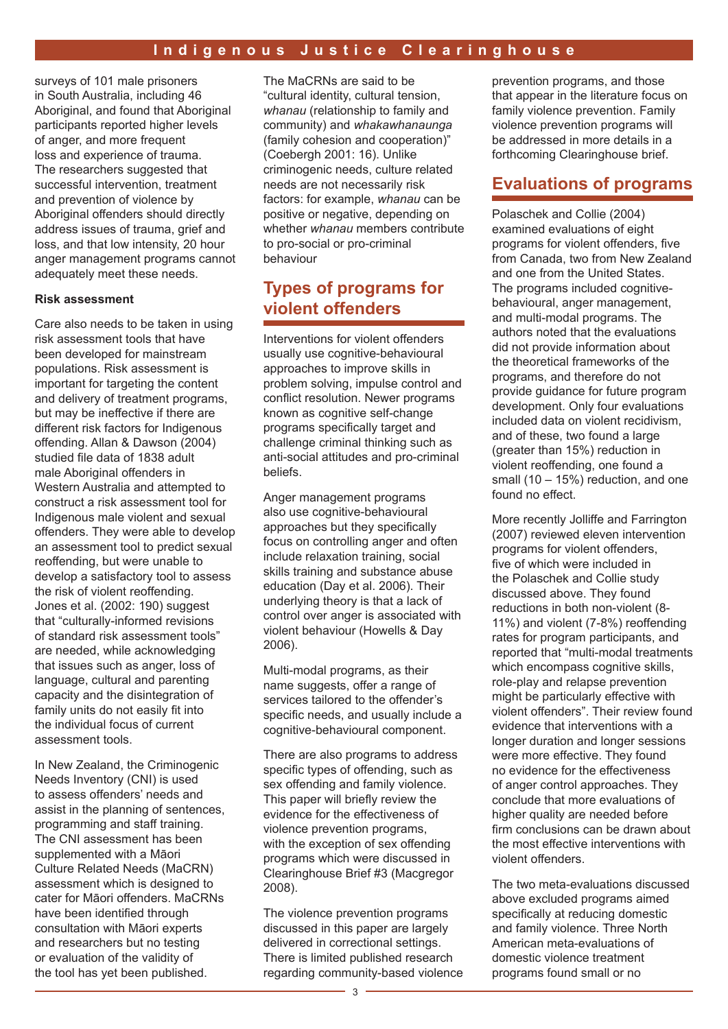surveys of 101 male prisoners in South Australia, including 46 Aboriginal, and found that Aboriginal participants reported higher levels of anger, and more frequent loss and experience of trauma. The researchers suggested that successful intervention, treatment and prevention of violence by Aboriginal offenders should directly address issues of trauma, grief and loss, and that low intensity, 20 hour anger management programs cannot adequately meet these needs.

#### **Risk assessment**

Care also needs to be taken in using risk assessment tools that have been developed for mainstream populations. Risk assessment is important for targeting the content and delivery of treatment programs, but may be ineffective if there are different risk factors for Indigenous offending. Allan & Dawson (2004) studied file data of 1838 adult male Aboriginal offenders in Western Australia and attempted to construct a risk assessment tool for Indigenous male violent and sexual offenders. They were able to develop an assessment tool to predict sexual reoffending, but were unable to develop a satisfactory tool to assess the risk of violent reoffending. Jones et al. (2002: 190) suggest that "culturally-informed revisions of standard risk assessment tools" are needed, while acknowledging that issues such as anger, loss of language, cultural and parenting capacity and the disintegration of family units do not easily fit into the individual focus of current assessment tools.

In New Zealand, the Criminogenic Needs Inventory (CNI) is used to assess offenders' needs and assist in the planning of sentences, programming and staff training. The CNI assessment has been supplemented with a Māori Culture Related Needs (MaCRN) assessment which is designed to cater for Māori offenders. MaCRNs have been identified through consultation with Māori experts and researchers but no testing or evaluation of the validity of the tool has yet been published.

The MaCRNs are said to be "cultural identity, cultural tension, *whanau* (relationship to family and community) and *whakawhanaunga* (family cohesion and cooperation)" (Coebergh 2001: 16). Unlike criminogenic needs, culture related needs are not necessarily risk factors: for example, *whanau* can be positive or negative, depending on whether *whanau* members contribute to pro-social or pro-criminal behaviour

### **Types of programs for violent offenders**

Interventions for violent offenders usually use cognitive-behavioural approaches to improve skills in problem solving, impulse control and conflict resolution. Newer programs known as cognitive self-change programs specifically target and challenge criminal thinking such as anti-social attitudes and pro-criminal beliefs.

Anger management programs also use cognitive-behavioural approaches but they specifically focus on controlling anger and often include relaxation training, social skills training and substance abuse education (Day et al. 2006). Their underlying theory is that a lack of control over anger is associated with violent behaviour (Howells & Day 2006).

Multi-modal programs, as their name suggests, offer a range of services tailored to the offender's specific needs, and usually include a cognitive-behavioural component.

There are also programs to address specific types of offending, such as sex offending and family violence. This paper will briefly review the evidence for the effectiveness of violence prevention programs, with the exception of sex offending programs which were discussed in Clearinghouse Brief #3 (Macgregor 2008).

The violence prevention programs discussed in this paper are largely delivered in correctional settings. There is limited published research regarding community-based violence

prevention programs, and those that appear in the literature focus on family violence prevention. Family violence prevention programs will be addressed in more details in a forthcoming Clearinghouse brief.

### **Evaluations of programs**

Polaschek and Collie (2004) examined evaluations of eight programs for violent offenders, five from Canada, two from New Zealand and one from the United States. The programs included cognitivebehavioural, anger management, and multi-modal programs. The authors noted that the evaluations did not provide information about the theoretical frameworks of the programs, and therefore do not provide guidance for future program development. Only four evaluations included data on violent recidivism, and of these, two found a large (greater than 15%) reduction in violent reoffending, one found a small (10 – 15%) reduction, and one found no effect.

More recently Jolliffe and Farrington (2007) reviewed eleven intervention programs for violent offenders, five of which were included in the Polaschek and Collie study discussed above. They found reductions in both non-violent (8- 11%) and violent (7-8%) reoffending rates for program participants, and reported that "multi-modal treatments which encompass cognitive skills, role-play and relapse prevention might be particularly effective with violent offenders". Their review found evidence that interventions with a longer duration and longer sessions were more effective. They found no evidence for the effectiveness of anger control approaches. They conclude that more evaluations of higher quality are needed before firm conclusions can be drawn about the most effective interventions with violent offenders.

The two meta-evaluations discussed above excluded programs aimed specifically at reducing domestic and family violence. Three North American meta-evaluations of domestic violence treatment programs found small or no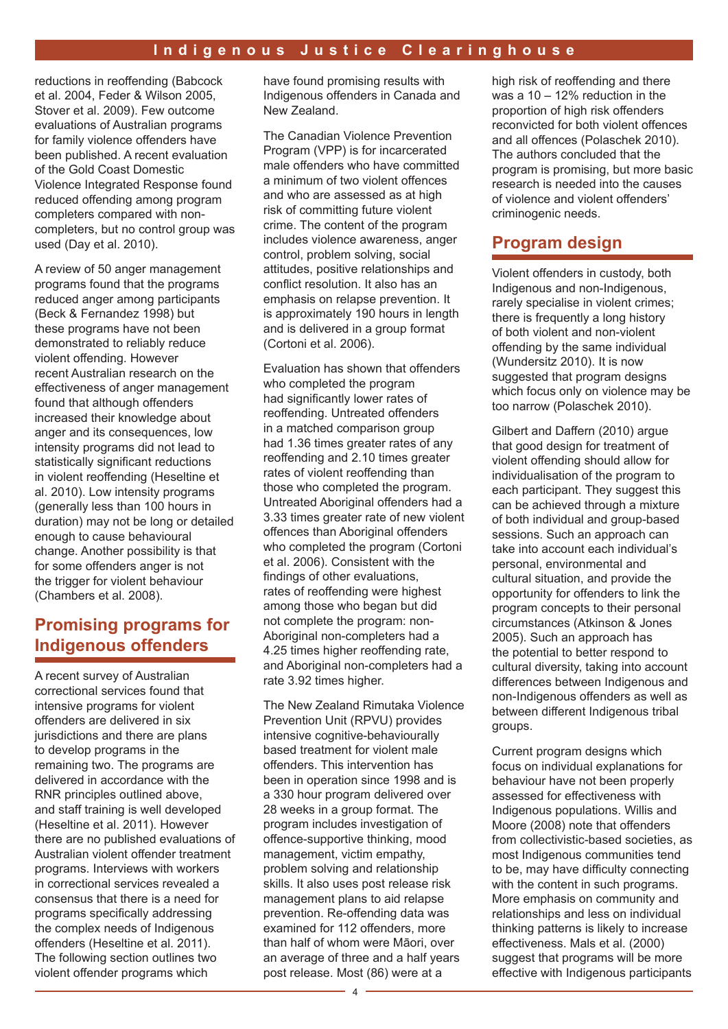reductions in reoffending (Babcock et al. 2004, Feder & Wilson 2005, Stover et al. 2009). Few outcome evaluations of Australian programs for family violence offenders have been published. A recent evaluation of the Gold Coast Domestic Violence Integrated Response found reduced offending among program completers compared with noncompleters, but no control group was used (Day et al. 2010).

A review of 50 anger management programs found that the programs reduced anger among participants (Beck & Fernandez 1998) but these programs have not been demonstrated to reliably reduce violent offending. However recent Australian research on the effectiveness of anger management found that although offenders increased their knowledge about anger and its consequences, low intensity programs did not lead to statistically significant reductions in violent reoffending (Heseltine et al. 2010). Low intensity programs (generally less than 100 hours in duration) may not be long or detailed enough to cause behavioural change. Another possibility is that for some offenders anger is not the trigger for violent behaviour (Chambers et al. 2008).

### **Promising programs for Indigenous offenders**

A recent survey of Australian correctional services found that intensive programs for violent offenders are delivered in six jurisdictions and there are plans to develop programs in the remaining two. The programs are delivered in accordance with the RNR principles outlined above, and staff training is well developed (Heseltine et al. 2011). However there are no published evaluations of Australian violent offender treatment programs. Interviews with workers in correctional services revealed a consensus that there is a need for programs specifically addressing the complex needs of Indigenous offenders (Heseltine et al. 2011). The following section outlines two violent offender programs which

have found promising results with Indigenous offenders in Canada and New Zealand.

The Canadian Violence Prevention Program (VPP) is for incarcerated male offenders who have committed a minimum of two violent offences and who are assessed as at high risk of committing future violent crime. The content of the program includes violence awareness, anger control, problem solving, social attitudes, positive relationships and conflict resolution. It also has an emphasis on relapse prevention. It is approximately 190 hours in length and is delivered in a group format (Cortoni et al. 2006).

Evaluation has shown that offenders who completed the program had significantly lower rates of reoffending. Untreated offenders in a matched comparison group had 1.36 times greater rates of any reoffending and 2.10 times greater rates of violent reoffending than those who completed the program. Untreated Aboriginal offenders had a 3.33 times greater rate of new violent offences than Aboriginal offenders who completed the program (Cortoni et al. 2006). Consistent with the findings of other evaluations, rates of reoffending were highest among those who began but did not complete the program: non-Aboriginal non-completers had a 4.25 times higher reoffending rate, and Aboriginal non-completers had a rate 3.92 times higher.

The New Zealand Rimutaka Violence Prevention Unit (RPVU) provides intensive cognitive-behaviourally based treatment for violent male offenders. This intervention has been in operation since 1998 and is a 330 hour program delivered over 28 weeks in a group format. The program includes investigation of offence-supportive thinking, mood management, victim empathy, problem solving and relationship skills. It also uses post release risk management plans to aid relapse prevention. Re-offending data was examined for 112 offenders, more than half of whom were Māori, over an average of three and a half years post release. Most (86) were at a

high risk of reoffending and there was a 10 – 12% reduction in the proportion of high risk offenders reconvicted for both violent offences and all offences (Polaschek 2010). The authors concluded that the program is promising, but more basic research is needed into the causes of violence and violent offenders' criminogenic needs.

### **Program design**

Violent offenders in custody, both Indigenous and non-Indigenous, rarely specialise in violent crimes; there is frequently a long history of both violent and non-violent offending by the same individual (Wundersitz 2010). It is now suggested that program designs which focus only on violence may be too narrow (Polaschek 2010).

Gilbert and Daffern (2010) argue that good design for treatment of violent offending should allow for individualisation of the program to each participant. They suggest this can be achieved through a mixture of both individual and group-based sessions. Such an approach can take into account each individual's personal, environmental and cultural situation, and provide the opportunity for offenders to link the program concepts to their personal circumstances (Atkinson & Jones 2005). Such an approach has the potential to better respond to cultural diversity, taking into account differences between Indigenous and non-Indigenous offenders as well as between different Indigenous tribal groups.

Current program designs which focus on individual explanations for behaviour have not been properly assessed for effectiveness with Indigenous populations. Willis and Moore (2008) note that offenders from collectivistic-based societies, as most Indigenous communities tend to be, may have difficulty connecting with the content in such programs. More emphasis on community and relationships and less on individual thinking patterns is likely to increase effectiveness. Mals et al. (2000) suggest that programs will be more effective with Indigenous participants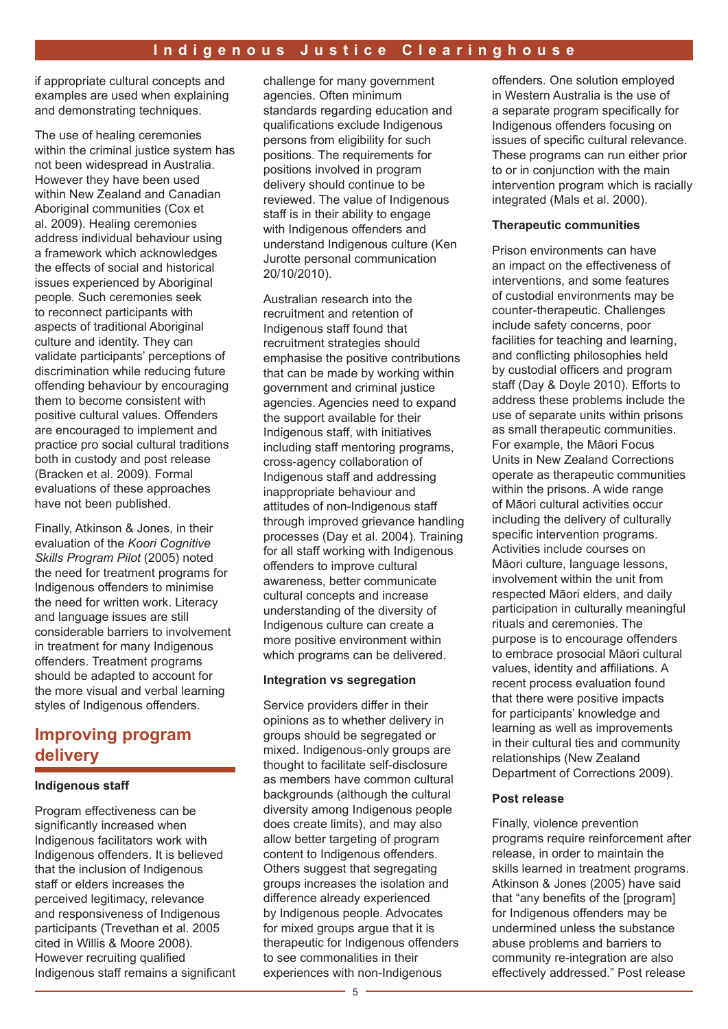if appropriate cultural concepts and examples are used when explaining and demonstrating techniques.

The use of healing ceremonies within the criminal justice system has not been widespread in Australia. However they have been used within New Zealand and Canadian Aboriginal communities (Cox et al. 2009). Healing ceremonies address individual behaviour using a framework which acknowledges the effects of social and historical issues experienced by Aboriginal people. Such ceremonies seek to reconnect participants with aspects of traditional Aboriginal culture and identity. They can validate participants' perceptions of discrimination while reducing future offending behaviour by encouraging them to become consistent with positive cultural values. Offenders are encouraged to implement and practice pro social cultural traditions both in custody and post release (Bracken et al. 2009). Formal evaluations of these approaches have not been published.

Finally, Atkinson & Jones, in their evaluation of the *Koori Cognitive Skills Program Pilot* (2005) noted the need for treatment programs for Indigenous offenders to minimise the need for written work. Literacy and language issues are still considerable barriers to involvement in treatment for many Indigenous offenders. Treatment programs should be adapted to account for the more visual and verbal learning styles of Indigenous offenders.

### **Improving program delivery**

#### **Indigenous staff**

Program effectiveness can be significantly increased when Indigenous facilitators work with Indigenous offenders. It is believed that the inclusion of Indigenous staff or elders increases the perceived legitimacy, relevance and responsiveness of Indigenous participants (Trevethan et al. 2005 cited in Willis & Moore 2008). However recruiting qualified Indigenous staff remains a significant

challenge for many government agencies. Often minimum standards regarding education and qualifications exclude Indigenous persons from eligibility for such positions. The requirements for positions involved in program delivery should continue to be reviewed. The value of Indigenous staff is in their ability to engage with Indigenous offenders and understand Indigenous culture (Ken Jurotte personal communication 20/10/2010).

Australian research into the recruitment and retention of Indigenous staff found that recruitment strategies should emphasise the positive contributions that can be made by working within government and criminal justice agencies. Agencies need to expand the support available for their Indigenous staff, with initiatives including staff mentoring programs, cross-agency collaboration of Indigenous staff and addressing inappropriate behaviour and attitudes of non-Indigenous staff through improved grievance handling processes (Day et al. 2004). Training for all staff working with Indigenous offenders to improve cultural awareness, better communicate cultural concepts and increase understanding of the diversity of Indigenous culture can create a more positive environment within which programs can be delivered.

#### **Integration vs segregation**

Service providers differ in their opinions as to whether delivery in groups should be segregated or mixed. Indigenous-only groups are thought to facilitate self-disclosure as members have common cultural backgrounds (although the cultural diversity among Indigenous people does create limits), and may also allow better targeting of program content to Indigenous offenders. Others suggest that segregating groups increases the isolation and difference already experienced by Indigenous people. Advocates for mixed groups argue that it is therapeutic for Indigenous offenders to see commonalities in their experiences with non-Indigenous

offenders. One solution employed in Western Australia is the use of a separate program specifically for Indigenous offenders focusing on issues of specific cultural relevance. These programs can run either prior to or in conjunction with the main intervention program which is racially integrated (Mals et al. 2000).

#### **Therapeutic communities**

Prison environments can have an impact on the effectiveness of interventions, and some features of custodial environments may be counter-therapeutic. Challenges include safety concerns, poor facilities for teaching and learning, and conflicting philosophies held by custodial officers and program staff (Day & Doyle 2010). Efforts to address these problems include the use of separate units within prisons as small therapeutic communities. For example, the Māori Focus Units in New Zealand Corrections operate as therapeutic communities within the prisons. A wide range of Māori cultural activities occur including the delivery of culturally specific intervention programs. Activities include courses on Māori culture, language lessons, involvement within the unit from respected Māori elders, and daily participation in culturally meaningful rituals and ceremonies. The purpose is to encourage offenders to embrace prosocial Māori cultural values, identity and affiliations. A recent process evaluation found that there were positive impacts for participants' knowledge and learning as well as improvements in their cultural ties and community relationships (New Zealand Department of Corrections 2009).

#### **Post release**

Finally, violence prevention programs require reinforcement after release, in order to maintain the skills learned in treatment programs. Atkinson & Jones (2005) have said that "any benefits of the [program] for Indigenous offenders may be undermined unless the substance abuse problems and barriers to community re-integration are also effectively addressed." Post release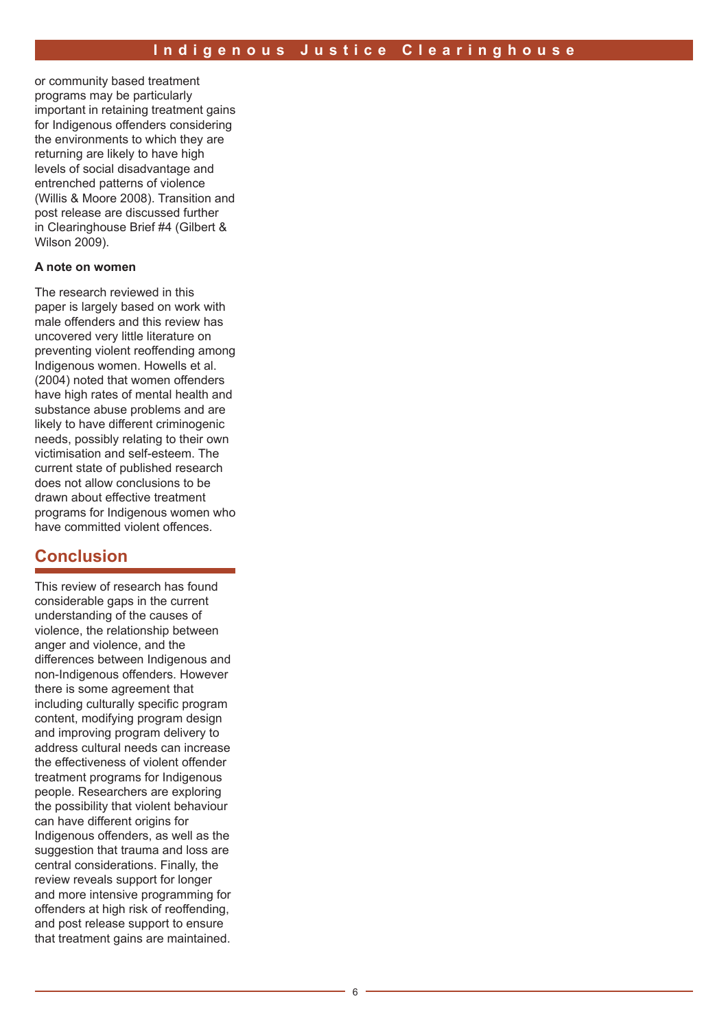or community based treatment programs may be particularly important in retaining treatment gains for Indigenous offenders considering the environments to which they are returning are likely to have high levels of social disadvantage and entrenched patterns of violence (Willis & Moore 2008). Transition and post release are discussed further in Clearinghouse Brief #4 (Gilbert & Wilson 2009).

#### **A note on women**

The research reviewed in this paper is largely based on work with male offenders and this review has uncovered very little literature on preventing violent reoffending among Indigenous women. Howells et al. (2004) noted that women offenders have high rates of mental health and substance abuse problems and are likely to have different criminogenic needs, possibly relating to their own victimisation and self-esteem. The current state of published research does not allow conclusions to be drawn about effective treatment programs for Indigenous women who have committed violent offences.

### **Conclusion**

This review of research has found considerable gaps in the current understanding of the causes of violence, the relationship between anger and violence, and the differences between Indigenous and non-Indigenous offenders. However there is some agreement that including culturally specific program content, modifying program design and improving program delivery to address cultural needs can increase the effectiveness of violent offender treatment programs for Indigenous people. Researchers are exploring the possibility that violent behaviour can have different origins for Indigenous offenders, as well as the suggestion that trauma and loss are central considerations. Finally, the review reveals support for longer and more intensive programming for offenders at high risk of reoffending, and post release support to ensure that treatment gains are maintained.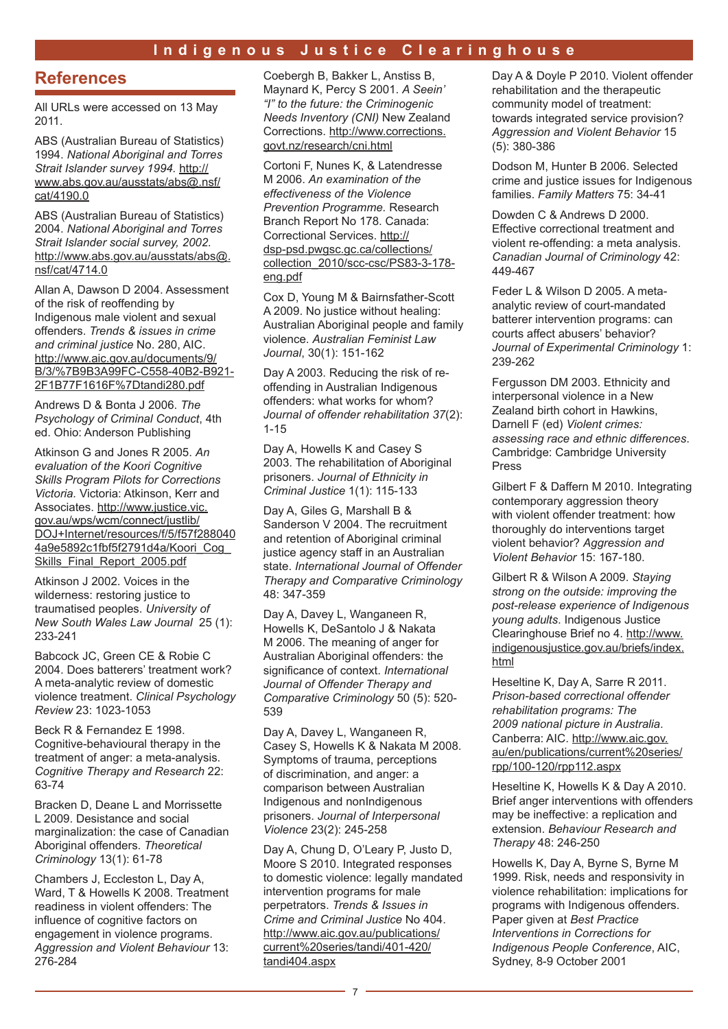### **Indigenous Justice Clearinghouse**

### **References**

All URLs were accessed on 13 May 2011.

ABS (Australian Bureau of Statistics) 1994. *National Aboriginal and Torres Strait Islander survey 1994.* http:// www.abs.gov.au/ausstats/abs@.nsf/ cat/4190.0

ABS (Australian Bureau of Statistics) 2004. *National Aboriginal and Torres Strait Islander social survey, 2002.*  http://www.abs.gov.au/ausstats/abs@. nsf/cat/4714.0

Allan A, Dawson D 2004. Assessment of the risk of reoffending by Indigenous male violent and sexual offenders. *Trends & issues in crime and criminal justice* No. 280, AIC. http://www.aic.gov.au/documents/9/ B/3/%7B9B3A99FC-C558-40B2-B921- 2F1B77F1616F%7Dtandi280.pdf

Andrews D & Bonta J 2006. *The Psychology of Criminal Conduct*, 4th ed. Ohio: Anderson Publishing

Atkinson G and Jones R 2005. *An evaluation of the Koori Cognitive Skills Program Pilots for Corrections Victoria.* Victoria: Atkinson, Kerr and Associates. http://www.justice.vic. gov.au/wps/wcm/connect/justlib/ DOJ+Internet/resources/f/5/f57f288040 4a9e5892c1fbf5f2791d4a/Koori\_Cog\_ Skills\_Final\_Report\_2005.pdf

Atkinson J 2002. Voices in the wilderness: restoring justice to traumatised peoples. *University of New South Wales Law Journal* 25 (1): 233-241

Babcock JC, Green CE & Robie C 2004. Does batterers' treatment work? A meta-analytic review of domestic violence treatment. *Clinical Psychology Review* 23: 1023-1053

Beck R & Fernandez E 1998. Cognitive-behavioural therapy in the treatment of anger: a meta-analysis. *Cognitive Therapy and Research* 22: 63-74

Bracken D, Deane L and Morrissette L 2009. Desistance and social marginalization: the case of Canadian Aboriginal offenders. *Theoretical Criminology* 13(1): 61-78

Chambers J, Eccleston L, Day A, Ward, T & Howells K 2008. Treatment readiness in violent offenders: The influence of cognitive factors on engagement in violence programs. *Aggression and Violent Behaviour* 13: 276-284

Coebergh B, Bakker L, Anstiss B, Maynard K, Percy S 2001. *A Seein' "I" to the future: the Criminogenic Needs Inventory (CNI)* New Zealand Corrections. http://www.corrections. govt.nz/research/cni.html

Cortoni F, Nunes K, & Latendresse M 2006. *An examination of the effectiveness of the Violence Prevention Programme.* Research Branch Report No 178. Canada: Correctional Services. http:// dsp-psd.pwgsc.gc.ca/collections/ collection\_2010/scc-csc/PS83-3-178 eng.pdf

Cox D, Young M & Bairnsfather-Scott A 2009. No justice without healing: Australian Aboriginal people and family violence. *Australian Feminist Law Journal*, 30(1): 151-162

Day A 2003. Reducing the risk of reoffending in Australian Indigenous offenders: what works for whom? *Journal of offender rehabilitation 37*(2): 1-15

Day A, Howells K and Casey S 2003. The rehabilitation of Aboriginal prisoners. *Journal of Ethnicity in Criminal Justice* 1(1): 115-133

Day A, Giles G, Marshall B & Sanderson V 2004. The recruitment and retention of Aboriginal criminal justice agency staff in an Australian state. *International Journal of Offender Therapy and Comparative Criminology* 48: 347-359

Day A, Davey L, Wanganeen R, Howells K, DeSantolo J & Nakata M 2006. The meaning of anger for Australian Aboriginal offenders: the significance of context. *International Journal of Offender Therapy and Comparative Criminology* 50 (5): 520- 539

Day A, Davey L, Wanganeen R, Casey S, Howells K & Nakata M 2008. Symptoms of trauma, perceptions of discrimination, and anger: a comparison between Australian Indigenous and nonIndigenous prisoners. *Journal of Interpersonal Violence* 23(2): 245-258

Day A, Chung D, O'Leary P, Justo D, Moore S 2010. Integrated responses to domestic violence: legally mandated intervention programs for male perpetrators. *Trends & Issues in Crime and Criminal Justice* No 404. http://www.aic.gov.au/publications/ current%20series/tandi/401-420/ tandi404.aspx

Day A & Doyle P 2010. Violent offender rehabilitation and the therapeutic community model of treatment: towards integrated service provision? *Aggression and Violent Behavior* 15 (5): 380-386

Dodson M, Hunter B 2006. Selected crime and justice issues for Indigenous families. *Family Matters* 75: 34-41

Dowden C & Andrews D 2000. Effective correctional treatment and violent re-offending: a meta analysis. *Canadian Journal of Criminology* 42: 449-467

Feder L & Wilson D 2005. A metaanalytic review of court-mandated batterer intervention programs: can courts affect abusers' behavior? *Journal of Experimental Criminology* 1: 239-262

Fergusson DM 2003. Ethnicity and interpersonal violence in a New Zealand birth cohort in Hawkins, Darnell F (ed) *Violent crimes: assessing race and ethnic differences*. Cambridge: Cambridge University Press

Gilbert F & Daffern M 2010. Integrating contemporary aggression theory with violent offender treatment: how thoroughly do interventions target violent behavior? *Aggression and Violent Behavior* 15: 167-180.

Gilbert R & Wilson A 2009. *Staying strong on the outside: improving the post-release experience of Indigenous young adults*. Indigenous Justice Clearinghouse Brief no 4. http://www. indigenousjustice.gov.au/briefs/index. html

Heseltine K, Day A, Sarre R 2011. *Prison-based correctional offender rehabilitation programs: The 2009 national picture in Australia*. Canberra: AIC. http://www.aic.gov. au/en/publications/current%20series/ rpp/100-120/rpp112.aspx

Heseltine K, Howells K & Day A 2010. Brief anger interventions with offenders may be ineffective: a replication and extension. *Behaviour Research and Therapy* 48: 246-250

Howells K, Day A, Byrne S, Byrne M 1999. Risk, needs and responsivity in violence rehabilitation: implications for programs with Indigenous offenders. Paper given at *Best Practice Interventions in Corrections for Indigenous People Conference*, AIC, Sydney, 8-9 October 2001